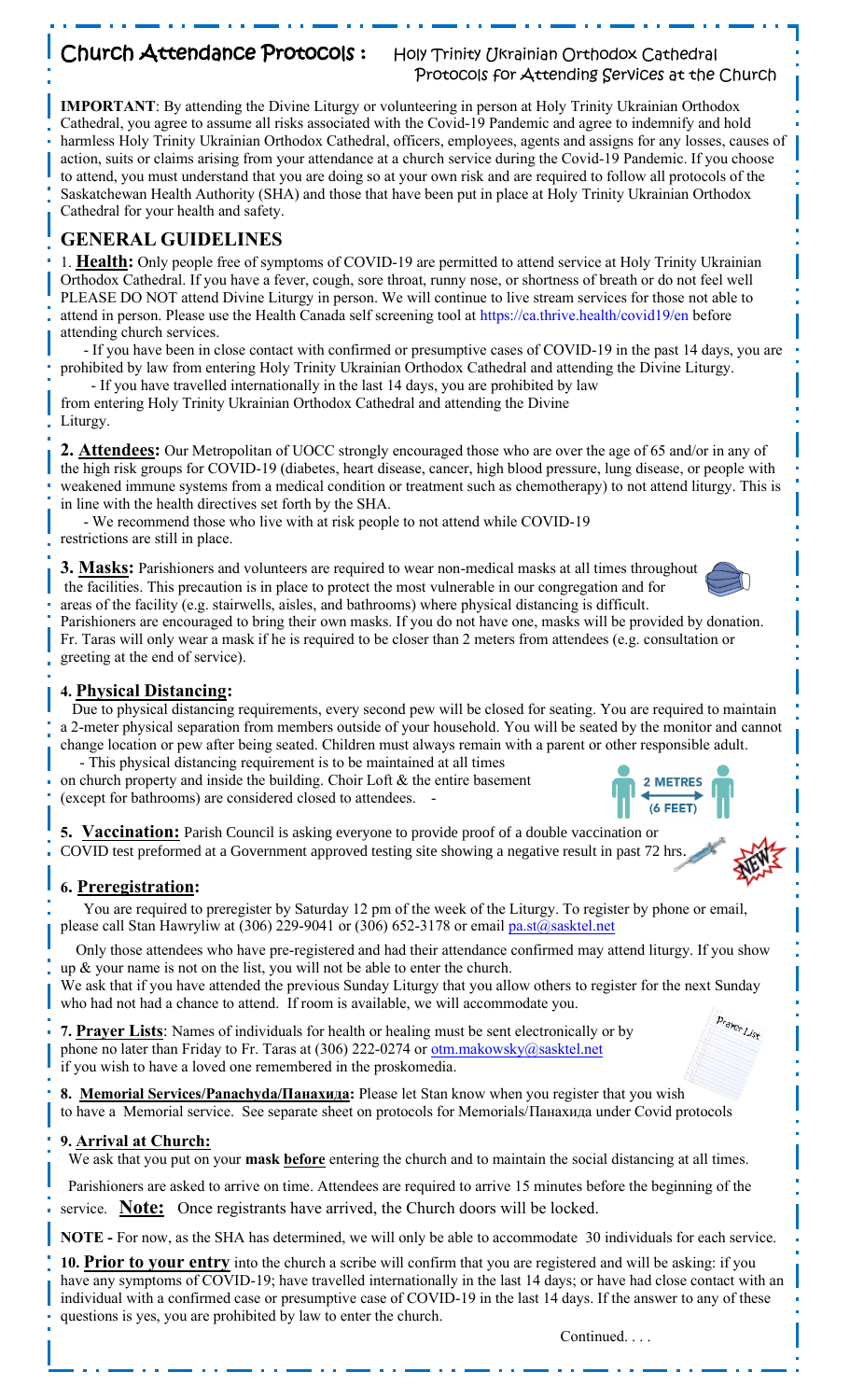## Church Attendance Protocols: Holy Trinity Ukrainian Orthodox Cathedral

# Protocols for Attending Services at the Church

**IMPORTANT**: By attending the Divine Liturgy or volunteering in person at Holy Trinity Ukrainian Orthodox Cathedral, you agree to assume all risks associated with the Covid-19 Pandemic and agree to indemnify and hold harmless Holy Trinity Ukrainian Orthodox Cathedral, officers, employees, agents and assigns for any losses, causes of action, suits or claims arising from your attendance at a church service during the Covid-19 Pandemic. If you choose to attend, you must understand that you are doing so at your own risk and are required to follow all protocols of the Saskatchewan Health Authority (SHA) and those that have been put in place at Holy Trinity Ukrainian Orthodox Cathedral for your health and safety.

## **GENERAL GUIDELINES**

1. **Health:** Only people free of symptoms of COVID-19 are permitted to attend service at Holy Trinity Ukrainian Orthodox Cathedral. If you have a fever, cough, sore throat, runny nose, or shortness of breath or do not feel well PLEASE DO NOT attend Divine Liturgy in person. We will continue to live stream services for those not able to attend in person. Please use the Health Canada self screening tool at https://ca.thrive.health/covid19/en before attending church services.

 - If you have been in close contact with confirmed or presumptive cases of COVID-19 in the past 14 days, you are prohibited by law from entering Holy Trinity Ukrainian Orthodox Cathedral and attending the Divine Liturgy.

 - If you have travelled internationally in the last 14 days, you are prohibited by law from entering Holy Trinity Ukrainian Orthodox Cathedral and attending the Divine

Liturgy.

**2. Attendees:** Our Metropolitan of UOCC strongly encouraged those who are over the age of 65 and/or in any of the high risk groups for COVID-19 (diabetes, heart disease, cancer, high blood pressure, lung disease, or people with weakened immune systems from a medical condition or treatment such as chemotherapy) to not attend liturgy. This is in line with the health directives set forth by the SHA.

- We recommend those who live with at risk people to not attend while COVID-19

restrictions are still in place.

**3. Masks:** Parishioners and volunteers are required to wear non-medical masks at all times throughout the facilities. This precaution is in place to protect the most vulnerable in our congregation and for areas of the facility (e.g. stairwells, aisles, and bathrooms) where physical distancing is difficult.

Parishioners are encouraged to bring their own masks. If you do not have one, masks will be provided by donation. Fr. Taras will only wear a mask if he is required to be closer than 2 meters from attendees (e.g. consultation or greeting at the end of service).

### **4. Physical Distancing:**

 Due to physical distancing requirements, every second pew will be closed for seating. You are required to maintain a 2-meter physical separation from members outside of your household. You will be seated by the monitor and cannot change location or pew after being seated. Children must always remain with a parent or other responsible adult. - This physical distancing requirement is to be maintained at all times

on church property and inside the building. Choir Loft & the entire basement (except for bathrooms) are considered closed to attendees. -

**5. Vaccination:** Parish Council is asking everyone to provide proof of a double vaccination or COVID test preformed at a Government approved testing site showing a negative result in past 72 hrs.

#### **6. Preregistration:**

 You are required to preregister by Saturday 12 pm of the week of the Liturgy. To register by phone or email, please call Stan Hawryliw at (306) 229-9041 or (306) 652-3178 or email [pa.st@sasktel.net](mailto:pa.st@sasktel.net)

 Only those attendees who have pre-registered and had their attendance confirmed may attend liturgy. If you show up & your name is not on the list, you will not be able to enter the church.

We ask that if you have attended the previous Sunday Liturgy that you allow others to register for the next Sunday who had not had a chance to attend. If room is available, we will accommodate you.

**7. Prayer Lists**: Names of individuals for health or healing must be sent electronically or by phone no later than Friday to Fr. Taras at (306) 222-0274 or [otm.makowsky@sasktel.net](mailto:otm.makowsky@sasktel.net) if you wish to have a loved one remembered in the proskomedia.

**8. Memorial Services/Panachyda/Панахида:** Please let Stan know when you register that you wish to have a Memorial service. See separate sheet on protocols for Memorials/Панахида under Covid protocols

#### **9. Arrival at Church:**

We ask that you put on your **mask before** entering the church and to maintain the social distancing at all times.

Parishioners are asked to arrive on time. Attendees are required to arrive 15 minutes before the beginning of the service. **Note:** Once registrants have arrived, the Church doors will be locked.

**NOTE -** For now, as the SHA has determined, we will only be able to accommodate 30 individuals for each service.

**10. Prior to your entry** into the church a scribe will confirm that you are registered and will be asking: if you have any symptoms of COVID-19; have travelled internationally in the last 14 days; or have had close contact with an individual with a confirmed case or presumptive case of COVID-19 in the last 14 days. If the answer to any of these questions is yes, you are prohibited by law to enter the church.

Continued. . . .